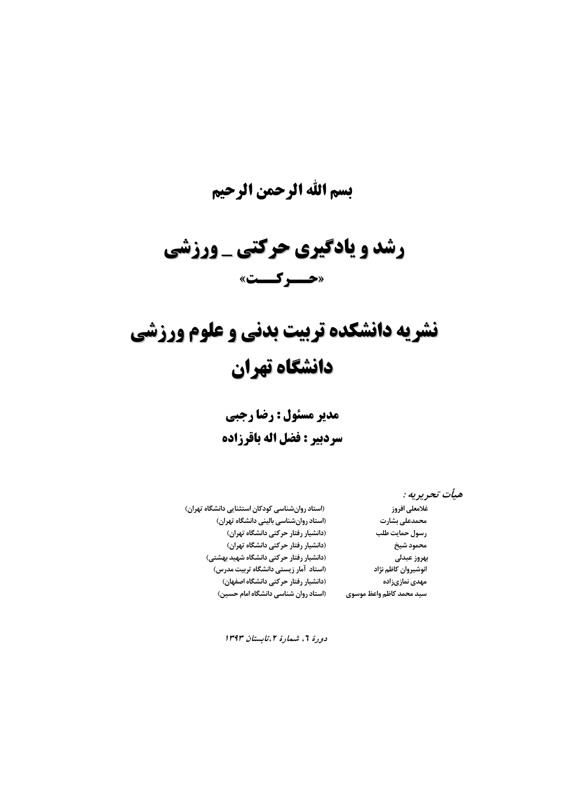## **بسم االله الرحمن الرحيم**

# **رشد و يادگيري يادگيري حركتي \_ ورزشي «حــركــت »**

# **نشريه دانشكده دانشكده تربيت بدني و علوم ورزشي دانشگاه دانشگاه تهران**

**مدير مسئول : رضا رجبي سردبير : فضل اله باقرزاده** 

**هيأت تحريريه :** 

**محمدعليبشارت (استاد روانشناسيبالينيدانشگاهتهران) رسولحمايت طلب (دانشياررفتار حركتيدانشگاهتهران) محمودشيخ (دانشياررفتار حركتيدانشگاهتهران) مهدي نمازيزاده (دانشياررفتار حركتيدانشگاهاصفهان) سيد محمد كاظم واعظ موسوي (استاد روانشناسيدانشگاهامام حسين)** 

**غلامعليافروز ( استاد روانشناسيكودكاناستثناييدانشگاهتهران) بهروز عبدلي (دانشياررفتار حركتيدانشگاهشهيد بهشتي) انوشيروانكاظم نژاد (استاد آمارزيستيدانشگاهتربيت مدرس)** 

**دورة ،6 شمارة ،<sup>2</sup>تابستان 1393**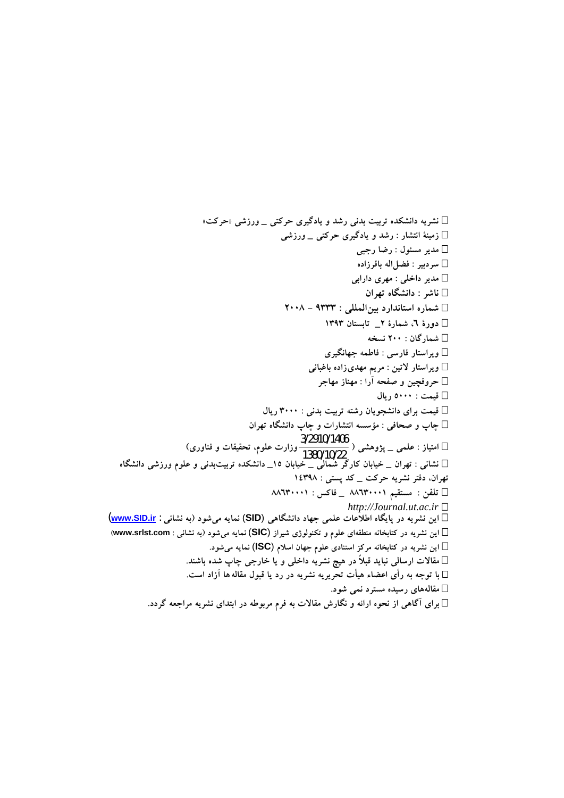**نشريه دانشكده تربيت بدني رشد و يادگيري حركتي \_ ورزشي «حركت» زمينة انتشار : رشد و يادگيري حركتي \_ ورزشي مدير مسئول : رضا رجبي سردبير : فضلاله باقرزاده مدير داخلي : مهري دارابي ناشر : دانشگاه تهران شماره استاندارد بينالمللي : 9333 - 2008 دورة ،6 شمارة 2\_ تابستان 1393 شمارگان : 200 نسخه ويراستار فارسي : فاطمه جهانگيري ويراستار لاتين : مريم مهديزاده باغباني حروفچين و صفحه آرا : مهناز مهاجر قيمت : 5000 ريال قيمت براي دانشجويان رشته تربيت بدني : 3000 ريال چاپ و صحافي : مؤسسه انتشارات و چاپ دانشگاه تهران امتياز : علمي \_ پژوهشي (** 1380/10/22 **وزارت علوم، تحقيقات <sup>و</sup> فناوري)** 3/2910/1406 **نشاني : تهران \_ خيابان كارگر شمالي \_ خيابان 15\_ دانشكده تربيتبدني و علوم ورزشي دانشگاه تهران، دفتر نشريه حركت \_ كد پستي : 14398 تلفن : مستقيم 88630001 \_ فاكس : 88630001**  *http://Journal.ut.ac.ir* **اين نشريه در پايگاه اطلاعات علمي جهاد دانشگاهي** (**SID** (**نمايه ميشود (به نشاني** : **ir.SID.www**( **اين نشريه در كتابخانه منطقهاي علوم و تكنولوژي شيراز** (**SIC** (**نمايه ميشود (به نشاني : com.srlst.www ( اين نشريه در كتابخانه مركز استنادي علوم جهان اسلام** (**ISC** (**نمايه ميشود. مقالات ارسالي نبايد قبلاً در هيچ نشريه داخلي و يا خارجي چاپ شده باشند. با توجه به رأي اعضاء هيأت تحريريه نشريه در رد يا قبول مقاله ها آزاد است. مقالههاي رسيده مسترد نمي شود. براي آگاهي از نحوه ارائه و نگارش مقالات به فرم مربوطه در ابتداي نشريه مراجعه گردد.**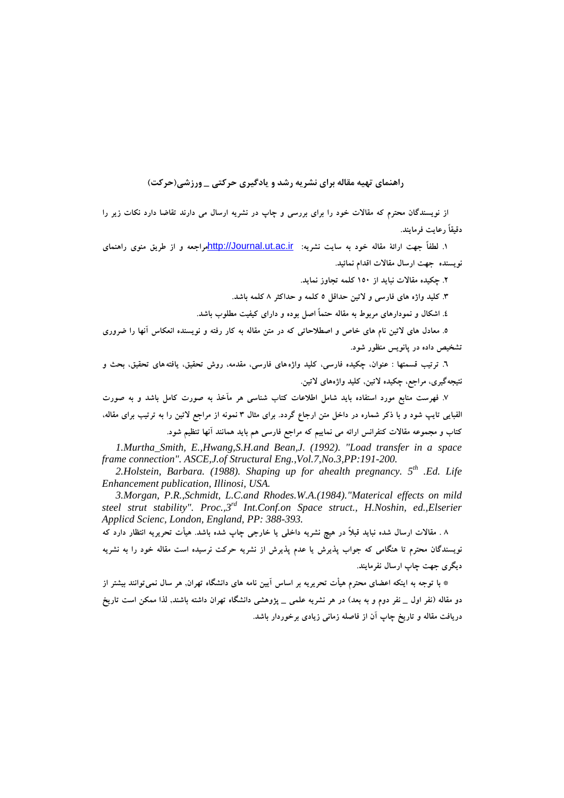## **راهنماي تهيه مقاله براي نشريه رشد و يادگيري حركتي \_ ورزشي(حركت )**

از نویسندگان محترم که مقالات خود را برای بررسی و چاپ در نشریه ارسال می دارند تقاضا دارد نکات زیر را **دقيقاً رعايت فرمايند.** 

 **1. لطفاً جهت ارائة مقاله خود به سايت نشريه :** ir.ac.ut.Journal://http**مراجعه و از طريق منوي راهنماي نويسنده جهت ارسال مقالات اقدام نمائيد.** 

 **2. چكيده مقالات نبايد از 150 كلمه تجاوز نمايد.** 

**.3 كليد واژه هاي فارسي و لاتين حداقل 5 كلمه و حداكثر 8 كلمه باشد.** 

 **4. اشكال و نمودارهاي مربوط به مقاله حتماً اصل بوده و داراي كيفيت مطلوب باشد.** 

۵. معادل های لاتین نام های خاص و اصطلاحاتی که در متن مقاله به کار رفته و نویسنده انعکاس آنها را ضروری **تشخيص داده در پانويس منظور شود.** 

 **6. ترتيب قسمتها : عنوان، چكيده فارسي، كليد واژههاي فارسي، مقدمه، روش تحقيق، يافتههاي تحقيق، بحث و نتيجهگيري، مراجع، چكيده لاتين, كليد واژههاي لاتين.** 

۷. فهرست منابع مورد استفاده باید شامل اطلاعات کتاب شناسی هر مآخذ به صورت کامل باشد و به صورت الفبایی تایب شود و با ذکر شماره در داخل متن ارجاع گردد. برای مثال ۳ نمونه از مراجع لاتین را به ترتیب برای مقاله، **كتاب و مجموعه مقالات كنفرانس ارائه مي نماييم كه مراجع فارسي هم بايد همانند آنها تنظيم شود.** 

*1.Murtha\_Smith, E.,Hwang,S.H.and Bean,J. (1992). "Load transfer in a space frame connection". ASCE,J.of Structural Eng.,Vol.7,No.3,PP:191-200.* 

*2.Holstein, Barbara. (1988). Shaping up for ahealth pregnancy. 5th .Ed. Life Enhancement publication, Illinosi, USA.* 

*3.Morgan, P.R.,Schmidt, L.C.and Rhodes.W.A.(1984)."Materical effects on mild steel strut stability". Proc.,3rd Int.Conf.on Space struct., H.Noshin, ed.,Elserier Applicd Scienc, London, England, PP: 388-393.* 

۸ . مقالات ارسال شده نباید قبلاً در هیچ نشریه داخلی یا خارجی چاپ شده باشد. هیأت تحریریه انتظار دارد که .<br>نویسندگان محترم تا هنگامی که جواب پذیرش یا عدم پذیرش از نشریه حرکت نرسیده است مقاله خود را به نشریه **ديگري جهت چاپ ارسال نفرمايند .** 

\* با توجه به اینکه اعضای محترم هیأت تحریریه بر اساس آیین نامه های دانشگاه تهران, هر سال نمی توانند بیشتر از دو مقاله (نفر اول \_ نفر دوم و به بعد) در هر نشریه علمی \_ پژوهشی دانشگاه تهران داشته باشند, لذا ممکن است تاریخ **دريافت مقاله و تاريخ چاپ آن از فاصله زماني زيادي برخوردار باشد.**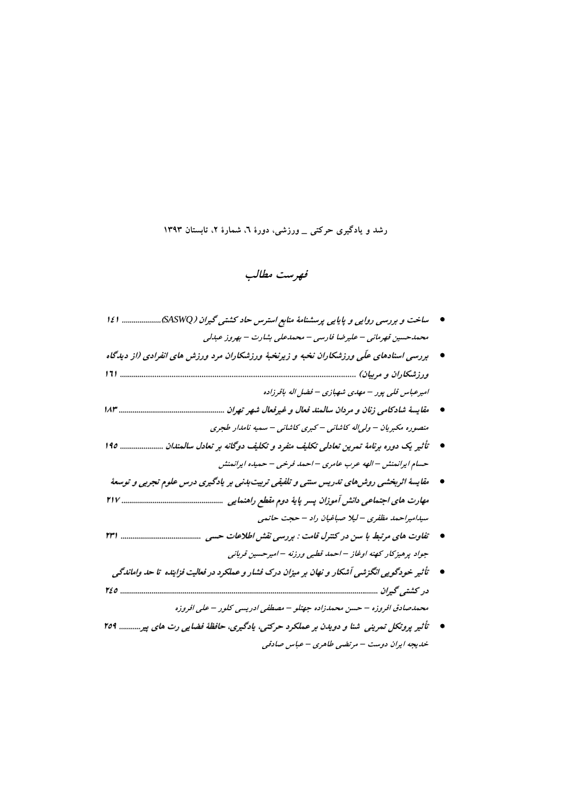## **رشد و يادگيري حركتي \_ ورزشي، دورة ،6 شمارة ،2 تابستان 1393**

## **فهرست مطالب**

- ساخت و بررسی روایی و پایایی برسشنامهٔ منابع استرس حاد کشتی گیران (SASWQ،...................... ۱٤١ **محمدحسين قهرماني – عليرضا فارسي – محمدعلي بشارت – بهروز عبدلي**
- \_ بررسی اسنادهای علّی ورزشکاران نخبه و زیرنخبهٔ ورزشکاران مرد ورزش های انفرادی (از دیدگاه **ورزشكاران ورزشكاران <sup>و</sup> مربيان) .................................................................................................... ............................................................................................................... 161 اميرعباس قلي پور – مهدي شهبازي – فضل اله باقرزاده**
- **مقايسة شادكامي زنان <sup>و</sup> مردان سالمند فعال <sup>و</sup> غيرفعال غيرفعال شهر تهران .............................................. ...................................................... 183 منصوره مكبريان – ولي اله كاشاني – كبري كاشاني – سميه نامدار طجري**
- \_ تأثیر یک دوره برنامهٔ تمرین تعادلی تکلیف منفرد و تکلیف دوگانه بر تعادل سالمندان ........................ ۱۹۵ **حسام ايرانمنش – الهه عرب عامري – احمد فرخي – حميده ايرانمنش**
- **مقايسة اثربخشي روشهاي تدريس سنتي <sup>و</sup> تلفيقي تربيتبدني بر يادگيري يادگيري درس علوم تجربي <sup>و</sup> توسعة مهارت هاياجتماعي اجتماعيدانش آموزان پسر پاية دوم مقطع راهنمايي راهنمايي ........................................... ...................... ..................... ............... 217 سيداميراحمد مظفري – ليلا صباغيان راد – حجت حاتمي**
- **تفاوت هاي مرتبط با سن در كنترل قامت : بررسي نقش اطلاعات حسي ....................................... ......................................... 231 جواد پرهيزكار كهنه اوغاز – احمد قطبي ورزنه – اميرحسين قرباني**
- **تأثير خودگويي انگزشي آشكار <sup>و</sup> نهان بر ميزان درك فشار <sup>و</sup> عملكرددرفعاليتفزاينده فزاينده تاحد واماندگي اماندگي در كشتي گيران ....... .............................................................................................................. ............................................................................................................................. ...................... <sup>245</sup> محمدصادق افروزه – حسن محمدزاده جهتلو – مصطفي ادريسي كلور – علي افروزه**
- **تأثير پروتكل تمريني شنا <sup>و</sup> دويدن بر عملكرد حركتي، يادگيري، حافظة فضايي رت هاي پير........... 259 خديجه ايران دوست – مرتضي طاهري – عباس صادقي**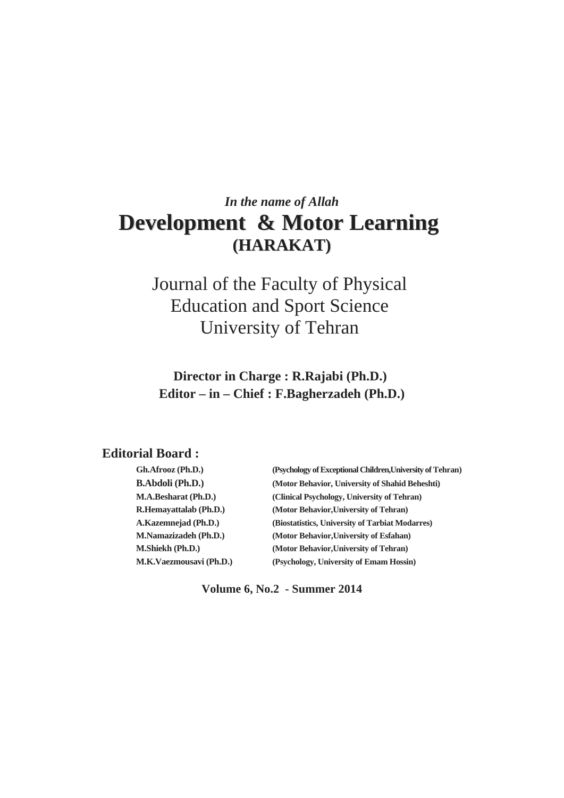# *In the name of Allah*  **Development & Motor Learning (HARAKAT)**

Journal of the Faculty of Physical Education and Sport Science University of Tehran

**Director in Charge : R.Rajabi (Ph.D.) Editor – in – Chief : F.Bagherzadeh (Ph.D.)**

## **Editorial Board :**

| Gh.Afrooz (Ph.D.)             | (Psychology of Exceptional Children, University of Tehran) |
|-------------------------------|------------------------------------------------------------|
| <b>B.Abdoli</b> (Ph.D.)       | (Motor Behavior, University of Shahid Beheshti)            |
| <b>M.A.Besharat (Ph.D.)</b>   | (Clinical Psychology, University of Tehran)                |
| <b>R.Hemavattalab (Ph.D.)</b> | (Motor Behavior, University of Tehran)                     |
| A.Kazemnejad (Ph.D.)          | (Biostatistics, University of Tarbiat Modarres)            |
| <b>M.Namazizadeh (Ph.D.)</b>  | (Motor Behavior, University of Esfahan)                    |
| <b>M.Shiekh (Ph.D.)</b>       | (Motor Behavior, University of Tehran)                     |
| M.K.Vaezmousavi (Ph.D.)       | (Psychology, University of Emam Hossin)                    |

**Volume 6, No.2 - Summer 2014**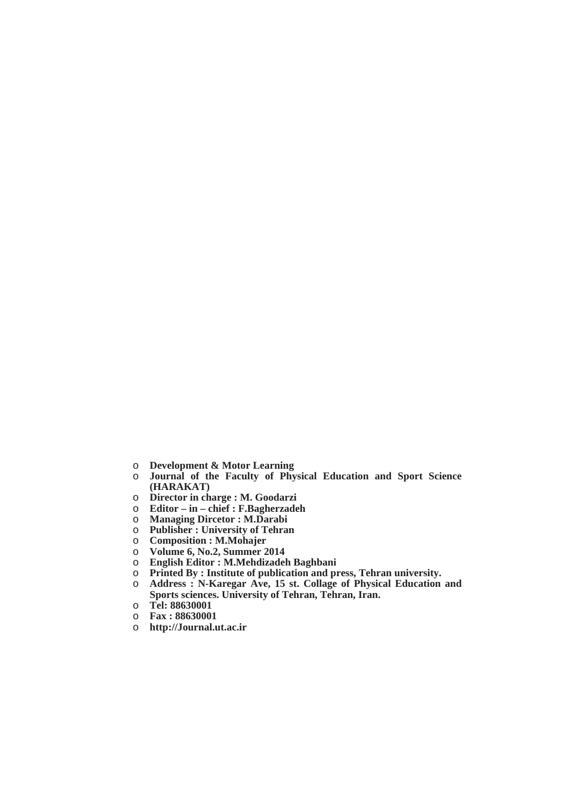- o **Development & Motor Learning**
- o **Journal of the Faculty of Physical Education and Sport Science (HARAKAT)**
- o **Director in charge : M. Goodarzi**
- o **Editor in chief : F.Bagherzadeh**
- o **Managing Dircetor : M.Darabi**
- o **Publisher : University of Tehran**
- o **Composition : M.Mohajer**
- o **Volume 6, No.2, Summer 2014**
- o **English Editor : M.Mehdizadeh Baghbani**
- Printed By : Institute of publication and press, Tehran university.
- o **Address : N-Karegar Ave, 15 st. Collage of Physical Education and Sports sciences. University of Tehran, Tehran, Iran.**
- o **Tel: 88630001**
- o **Fax : 88630001**
- o **http://Journal.ut.ac.ir**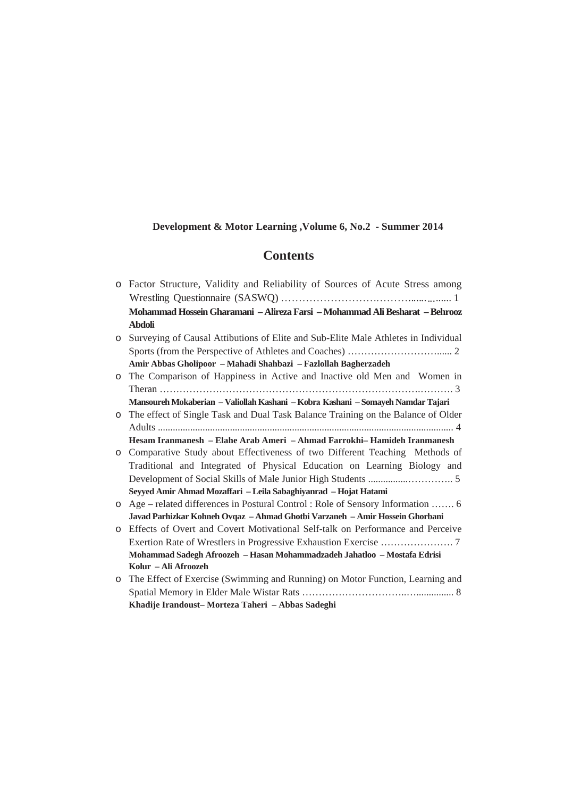## **Development & Motor Learning ,Volume 6, No.2 - Summer 2014**

## **Contents**

|         | o Factor Structure, Validity and Reliability of Sources of Acute Stress among      |
|---------|------------------------------------------------------------------------------------|
|         |                                                                                    |
|         | Mohammad Hossein Gharamani - Alireza Farsi - Mohammad Ali Besharat - Behrooz       |
|         | <b>Abdoli</b>                                                                      |
| $\circ$ | Surveying of Causal Attibutions of Elite and Sub-Elite Male Athletes in Individual |
|         |                                                                                    |
|         | Amir Abbas Gholipoor - Mahadi Shahbazi - Fazlollah Bagherzadeh                     |
| $\circ$ | The Comparison of Happiness in Active and Inactive old Men and Women in            |
|         |                                                                                    |
|         | Mansoureh Mokaberian - Valiollah Kashani - Kobra Kashani - Somayeh Namdar Tajari   |
| $\circ$ | The effect of Single Task and Dual Task Balance Training on the Balance of Older   |
|         |                                                                                    |
|         | Hesam Iranmanesh - Elahe Arab Ameri - Ahmad Farrokhi-Hamideh Iranmanesh            |
| $\circ$ | Comparative Study about Effectiveness of two Different Teaching Methods of         |
|         | Traditional and Integrated of Physical Education on Learning Biology and           |
|         |                                                                                    |
|         | Seyyed Amir Ahmad Mozaffari - Leila Sabaghiyanrad - Hojat Hatami                   |
| $\circ$ | Age – related differences in Postural Control : Role of Sensory Information  6     |
|         | Javad Parhizkar Kohneh Ovqaz - Ahmad Ghotbi Varzaneh - Amir Hossein Ghorbani       |
| $\circ$ | Effects of Overt and Covert Motivational Self-talk on Performance and Perceive     |
|         |                                                                                    |
|         | Mohammad Sadegh Afroozeh - Hasan Mohammadzadeh Jahatloo - Mostafa Edrisi           |
|         | Kolur – Ali Afroozeh                                                               |
|         | o The Effect of Exercise (Swimming and Running) on Motor Function, Learning and    |
|         |                                                                                    |
|         | Khadije Irandoust-Morteza Taheri - Abbas Sadeghi                                   |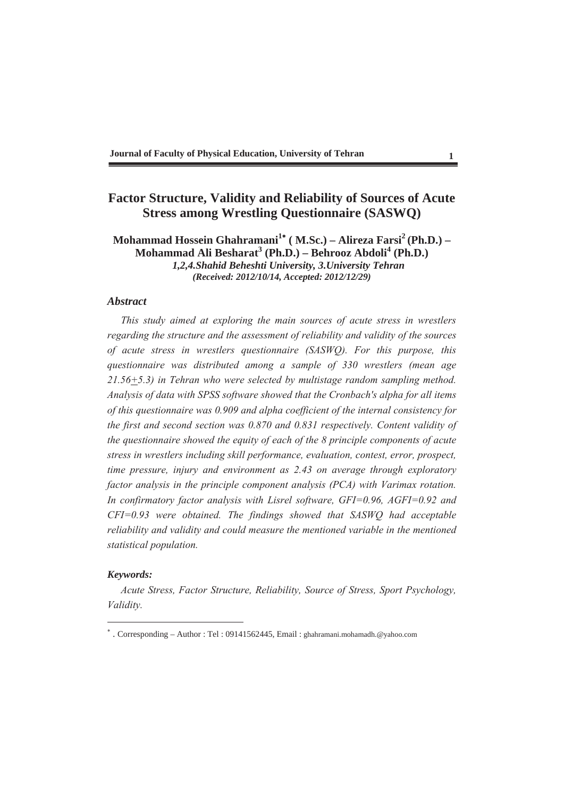## **Factor Structure, Validity and Reliability of Sources of Acute Stress among Wrestling Questionnaire (SASWQ)**

**Mohammad Hossein Ghahramani<sup>1</sup> ( M.Sc.) – Alireza Farsi<sup>2</sup> (Ph.D.) – Mohammad Ali Besharat<sup>3</sup> (Ph.D.) – Behrooz Abdoli<sup>4</sup> (Ph.D.)** *1,2,4.Shahid Beheshti University, 3.University Tehran (Received: 2012/10/14, Accepted: 2012/12/29)*

## *Abstract*

*This study aimed at exploring the main sources of acute stress in wrestlers regarding the structure and the assessment of reliability and validity of the sources of acute stress in wrestlers questionnaire (SASWQ). For this purpose, this questionnaire was distributed among a sample of 330 wrestlers (mean age 21.56+5.3) in Tehran who were selected by multistage random sampling method. Analysis of data with SPSS software showed that the Cronbach's alpha for all items of this questionnaire was 0.909 and alpha coefficient of the internal consistency for the first and second section was 0.870 and 0.831 respectively. Content validity of the questionnaire showed the equity of each of the 8 principle components of acute stress in wrestlers including skill performance, evaluation, contest, error, prospect, time pressure, injury and environment as 2.43 on average through exploratory factor analysis in the principle component analysis (PCA) with Varimax rotation. In confirmatory factor analysis with Lisrel software, GFI=0.96, AGFI=0.92 and CFI=0.93 were obtained. The findings showed that SASWQ had acceptable reliability and validity and could measure the mentioned variable in the mentioned statistical population.* 

#### *Keywords:*

*Acute Stress, Factor Structure, Reliability, Source of Stress, Sport Psychology, Validity.* 

 . Corresponding – Author : Tel : 09141562445, Email : ghahramani.mohamadh.@yahoo.com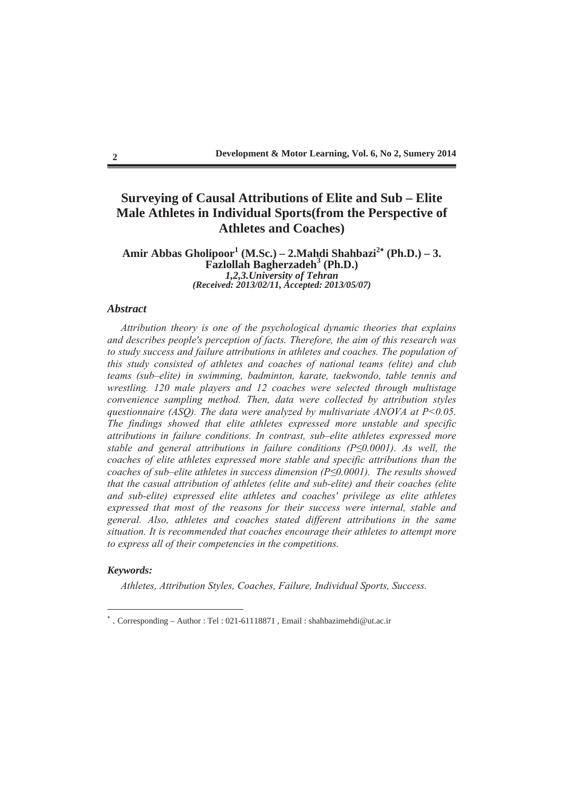## **Surveying of Causal Attributions of Elite and Sub – Elite Male Athletes in Individual Sports(from the Perspective of Athletes and Coaches)**

#### Amir Abbas Gholipoor<sup>1</sup> (M.Sc.) – 2.Mahdi Shahbazi<sup>2</sup>\* (Ph.D.) – 3. **Fazlollah Bagherzadeh<sup>3</sup> (Ph.D.)**  *1,2,3.University of Tehran (Received: 2013/02/11, Accepted: 2013/05/07)*

## *Abstract*

*Attribution theory is one of the psychological dynamic theories that explains and describes people's perception of facts. Therefore, the aim of this research was to study success and failure attributions in athletes and coaches. The population of this study consisted of athletes and coaches of national teams (elite) and club teams (sub–elite) in swimming, badminton, karate, taekwondo, table tennis and wrestling. 120 male players and 12 coaches were selected through multistage convenience sampling method. Then, data were collected by attribution styles duestionnaire (ASO). The data were analyzed by multivariate ANOVA at P* $\leq$ 0.05. *The findings showed that elite athletes expressed more unstable and specific attributions in failure conditions. In contrast, sub–elite athletes expressed more stable and general attributions in failure conditions (* $P \le 0.0001$ *). As well, the coaches of elite athletes expressed more stable and specific attributions than the coaches of sub–elite athletes in success dimension (P0.0001). The results showed that the casual attribution of athletes (elite and sub-elite) and their coaches (elite and sub-elite) expressed elite athletes and coaches' privilege as elite athletes expressed that most of the reasons for their success were internal, stable and general. Also, athletes and coaches stated different attributions in the same situation. It is recommended that coaches encourage their athletes to attempt more to express all of their competencies in the competitions.* 

#### *Keywords:*

*Athletes, Attribution Styles, Coaches, Failure, Individual Sports, Success.* 

 . Corresponding – Author : Tel : 021-61118871 , Email : shahbazimehdi@ut.ac.ir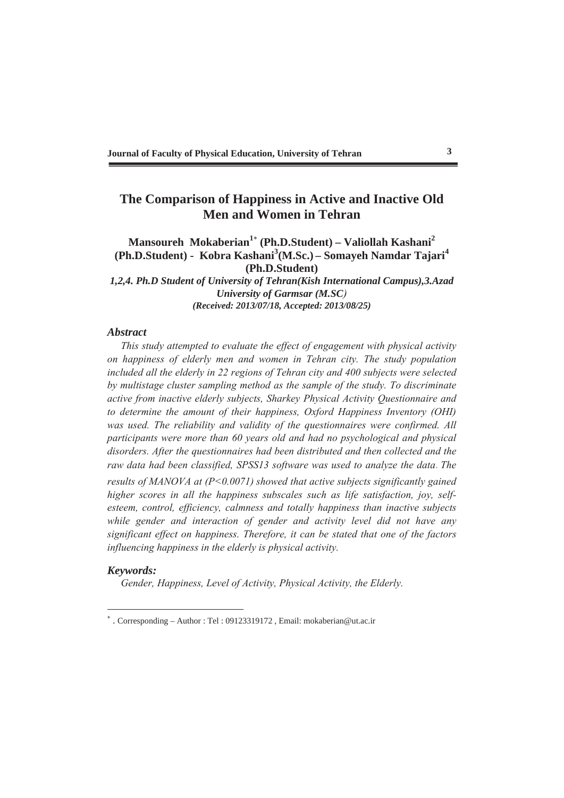## **The Comparison of Happiness in Active and Inactive Old Men and Women in Tehran**

## **Mansoureh Mokaberian1 (Ph.D.Student) – Valiollah Kashani<sup>2</sup> (Ph.D.Student) - Kobra Kashani<sup>3</sup> (M.Sc.) – Somayeh Namdar Tajari<sup>4</sup> (Ph.D.Student)**

*1,2,4. Ph.D Student of University of Tehran(Kish International Campus),3.Azad University of Garmsar (M.SC) (Received: 2013/07/18, Accepted: 2013/08/25)*

#### *Abstract*

*This study attempted to evaluate the effect of engagement with physical activity on happiness of elderly men and women in Tehran city. The study population included all the elderly in 22 regions of Tehran city and 400 subjects were selected by multistage cluster sampling method as the sample of the study. To discriminate active from inactive elderly subjects, Sharkey Physical Activity Questionnaire and to determine the amount of their happiness, Oxford Happiness Inventory (OHI) was used. The reliability and validity of the questionnaires were confirmed. All participants were more than 60 years old and had no psychological and physical disorders. After the questionnaires had been distributed and then collected and the raw data had been classified, SPSS13 software was used to analyze the data*. *The results of MANOVA at (P<0.0071) showed that active subjects significantly gained higher scores in all the happiness subscales such as life satisfaction, joy, selfesteem, control, efficiency, calmness and totally happiness than inactive subjects while gender and interaction of gender and activity level did not have any significant effect on happiness. Therefore, it can be stated that one of the factors influencing happiness in the elderly is physical activity.* 

#### *Keywords:*

*Gender, Happiness, Level of Activity, Physical Activity, the Elderly.*

 . Corresponding – Author : Tel : 09123319172 , Email: mokaberian@ut.ac.ir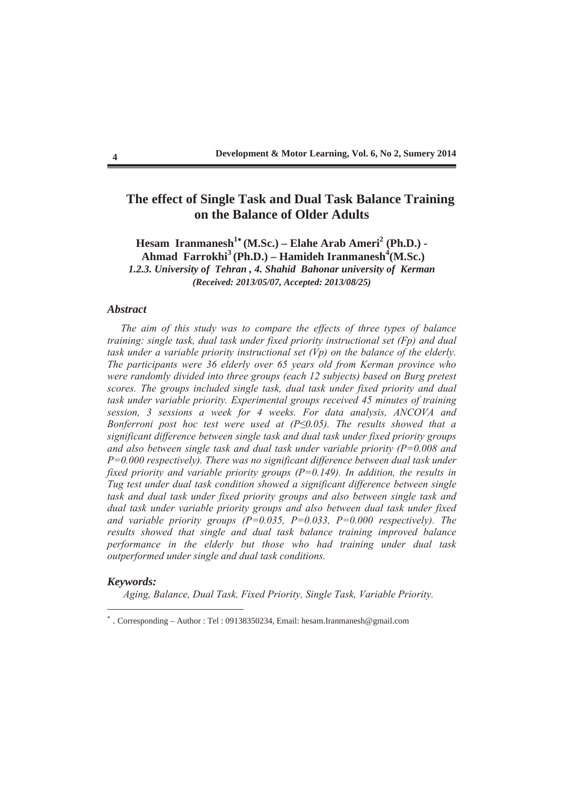## **The effect of Single Task and Dual Task Balance Training on the Balance of Older Adults**

**Hesam Iranmanesh<sup>1</sup><sup>\*</sup> (M.Sc.) – Elahe Arab Ameri<sup>2</sup> (Ph.D.) -**Ahmad Farrokhi<sup>3</sup> (Ph.D.) – Hamideh Iranmanesh<sup>4</sup> (M.Sc.) *1.2.3. University of Tehran , 4. Shahid Bahonar university of Kerman (Received: 2013/05/07, Accepted: 2013/08/25)*

#### *Abstract*

*The aim of this study was to compare the effects of three types of balance training: single task, dual task under fixed priority instructional set (Fp) and dual task under a variable priority instructional set (Vp) on the balance of the elderly. The participants were 36 elderly over 65 years old from Kerman province who were randomly divided into three groups (each 12 subjects) based on Burg pretest scores. The groups included single task, dual task under fixed priority and dual task under variable priority. Experimental groups received 45 minutes of training session, 3 sessions a week for 4 weeks. For data analysis, ANCOVA and Bonferroni post hoc test were used at (P0.05). The results showed that a significant difference between single task and dual task under fixed priority groups and also between single task and dual task under variable priority (P=0.008 and P=0.000 respectively). There was no significant difference between dual task under fixed priority and variable priority groups (P=0.149). In addition, the results in Tug test under dual task condition showed a significant difference between single task and dual task under fixed priority groups and also between single task and dual task under variable priority groups and also between dual task under fixed and variable priority groups (P=0.035, P=0.033, P=0.000 respectively). The results showed that single and dual task balance training improved balance performance in the elderly but those who had training under dual task outperformed under single and dual task conditions.* 

#### *Keywords:*

 *Aging, Balance, Dual Task, Fixed Priority, Single Task, Variable Priority.* 

 . Corresponding – Author : Tel : 09138350234, Email: hesam.Iranmanesh@gmail.com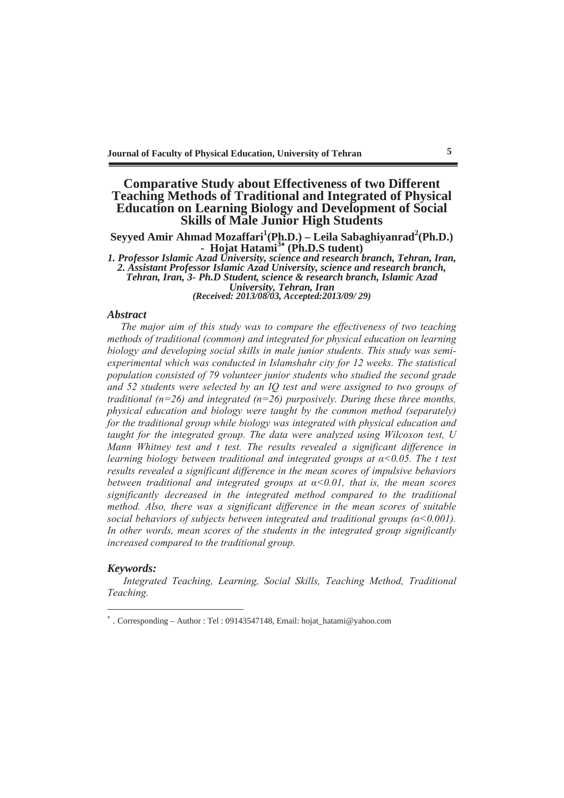## **Comparative Study about Effectiveness of two Different Teaching Methods of Traditional and Integrated of Physical Education on Learning Biology and Development of Social Skills of Male Junior High Students**

Seyyed Amir Ahmad Mozaffari<sup>1</sup>(Ph.D.) – Leila Sabaghiyanrad<sup>2</sup>(Ph.D.) **- Hojat Hatami3 (Ph.D.S tudent)** 

*1. Professor Islamic Azad University, science and research branch, Tehran, Iran, 2. Assistant Professor Islamic Azad University, science and research branch, Tehran, Iran, 3- Ph.D Student, science & research branch, Islamic Azad University, Tehran, Iran*

*(Received: 2013/08/03, Accepted:2013/09/ 29)*

#### *Abstract*

*The major aim of this study was to compare the effectiveness of two teaching methods of traditional (common) and integrated for physical education on learning biology and developing social skills in male junior students. This study was semiexperimental which was conducted in Islamshahr city for 12 weeks. The statistical population consisted of 79 volunteer junior students who studied the second grade and 52 students were selected by an IQ test and were assigned to two groups of traditional (n=26) and integrated (n=26) purposively. During these three months, physical education and biology were taught by the common method (separately) for the traditional group while biology was integrated with physical education and taught for the integrated group. The data were analyzed using Wilcoxon test, U Mann Whitney test and t test. The results revealed a significant difference in learning biology between traditional and integrated groups at*  $\alpha$ *<0.05. The t test results revealed a significant difference in the mean scores of impulsive behaviors between traditional and integrated groups at*  $\alpha \leq 0.01$ *, that is, the mean scores significantly decreased in the integrated method compared to the traditional method. Also, there was a significant difference in the mean scores of suitable social behaviors of subjects between integrated and traditional groups*  $(a < 0.001)$ *. In other words, mean scores of the students in the integrated group significantly increased compared to the traditional group.* 

## *Keywords:*

 *Integrated Teaching, Learning, Social Skills, Teaching Method, Traditional Teaching.* 

 . Corresponding – Author : Tel : 09143547148, Email: hojat\_hatami@yahoo.com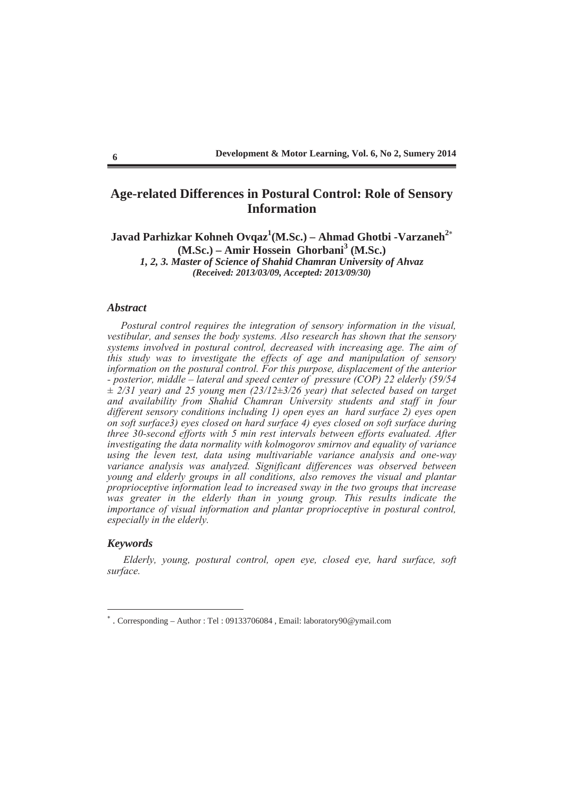## **Age-related Differences in Postural Control: Role of Sensory Information**

Javad Parhizkar Kohneh Ovqaz<sup>1</sup>(M.Sc.) – Ahmad Ghotbi -Varzaneh<sup>2</sup>\* **(M.Sc.) – Amir Hossein Ghorbani<sup>3</sup> (M.Sc.)**  *1, 2, 3. Master of Science of Shahid Chamran University of Ahvaz (Received: 2013/03/09, Accepted: 2013/09/30)*

## *Abstract*

*Postural control requires the integration of sensory information in the visual, vestibular, and senses the body systems. Also research has shown that the sensory systems involved in postural control, decreased with increasing age. The aim of this study was to investigate the effects of age and manipulation of sensory information on the postural control. For this purpose, displacement of the anterior - posterior, middle – lateral and speed center of pressure (COP) 22 elderly (59/54 ± 2/31 year) and 25 young men (23/12±3/26 year) that selected based on target and availability from Shahid Chamran University students and staff in four different sensory conditions including 1) open eyes an hard surface 2) eyes open on soft surface3) eyes closed on hard surface 4) eyes closed on soft surface during three 30-second efforts with 5 min rest intervals between efforts evaluated. After investigating the data normality with kolmogorov smirnov and equality of variance using the leven test, data using multivariable variance analysis and one-way*  variance analysis was analyzed. Significant differences was observed between *young and elderly groups in all conditions, also removes the visual and plantar proprioceptive information lead to increased sway in the two groups that increase*  was greater in the elderly than in young group. This results indicate the *importance of visual information and plantar proprioceptive in postural control, especially in the elderly.* 

## *Keywords*

 *Elderly, young, postural control, open eye, closed eye, hard surface, soft surface.* 

 . Corresponding – Author : Tel : 09133706084 , Email: laboratory90@ymail.com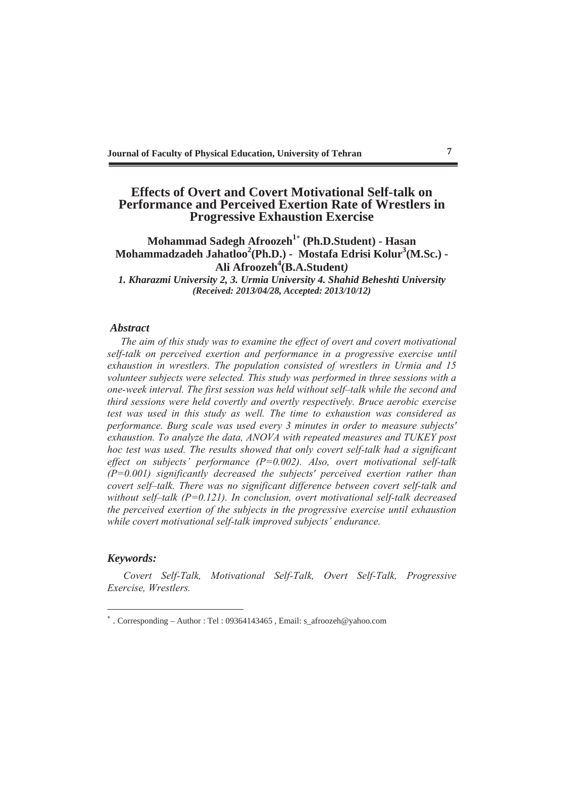## **Effects of Overt and Covert Motivational Self-talk on Performance and Perceived Exertion Rate of Wrestlers in Progressive Exhaustion Exercise**

## **Mohammad Sadegh Afroozeh1 (Ph.D.Student) - Hasan**  Mohammadzadeh Jahatloo<sup>2</sup> (Ph.D.) - Mostafa Edrisi Kolur<sup>3</sup> (M.Sc.) -**Ali Afroozeh4 (B.A.Student***)*

*1. Kharazmi University 2, 3. Urmia University 4. Shahid Beheshti University (Received: 2013/04/28, Accepted: 2013/10/12)*

#### *Abstract*

*The aim of this study was to examine the effect of overt and covert motivational self-talk on perceived exertion and performance in a progressive exercise until exhaustion in wrestlers. The population consisted of wrestlers in Urmia and 15 volunteer subjects were selected. This study was performed in three sessions with a one-week interval. The first session was held without self–talk while the second and third sessions were held covertly and overtly respectively. Bruce aerobic exercise test was used in this study as well. The time to exhaustion was considered as performance. Burg scale was used every 3 minutes in order to measure subjects' exhaustion. To analyze the data, ANOVA with repeated measures and TUKEY post hoc test was used. The results showed that only covert self-talk had a significant effect on subjects' performance (P=0.002). Also, overt motivational self-talk (P=0.001) significantly decreased the subjects' perceived exertion rather than covert self–talk. There was no significant difference between covert self-talk and without self–talk (P=0.121). In conclusion, overt motivational self-talk decreased the perceived exertion of the subjects in the progressive exercise until exhaustion while covert motivational self-talk improved subjects' endurance.*

#### *Keywords:*

 *Covert Self-Talk, Motivational Self-Talk, Overt Self-Talk, Progressive Exercise, Wrestlers.* 

 . Corresponding – Author : Tel : 09364143465 , Email: s\_afroozeh@yahoo.com